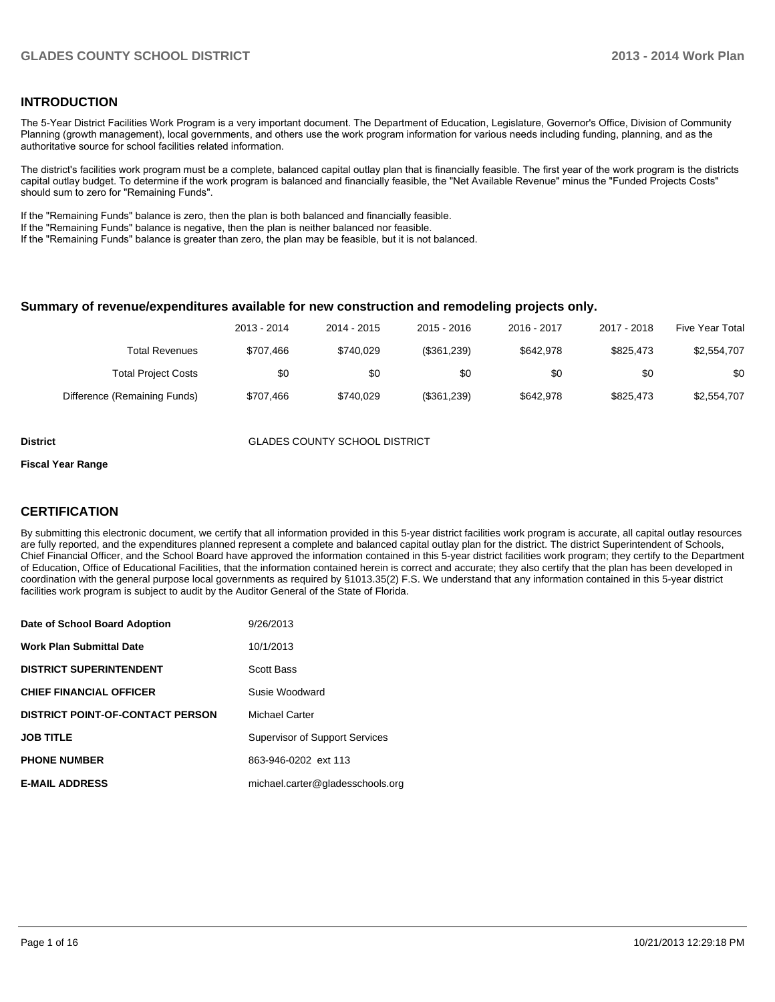### **INTRODUCTION**

The 5-Year District Facilities Work Program is a very important document. The Department of Education, Legislature, Governor's Office, Division of Community Planning (growth management), local governments, and others use the work program information for various needs including funding, planning, and as the authoritative source for school facilities related information.

The district's facilities work program must be a complete, balanced capital outlay plan that is financially feasible. The first year of the work program is the districts capital outlay budget. To determine if the work program is balanced and financially feasible, the "Net Available Revenue" minus the "Funded Projects Costs" should sum to zero for "Remaining Funds".

If the "Remaining Funds" balance is zero, then the plan is both balanced and financially feasible.

If the "Remaining Funds" balance is negative, then the plan is neither balanced nor feasible.

If the "Remaining Funds" balance is greater than zero, the plan may be feasible, but it is not balanced.

#### **Summary of revenue/expenditures available for new construction and remodeling projects only.**

| <b>Five Year Total</b> | 2017 - 2018 | 2016 - 2017 | 2015 - 2016 | 2014 - 2015 | 2013 - 2014 |                              |
|------------------------|-------------|-------------|-------------|-------------|-------------|------------------------------|
| \$2,554,707            | \$825.473   | \$642.978   | (\$361,239) | \$740.029   | \$707.466   | Total Revenues               |
| \$0                    | \$0         | \$0         | \$0         | \$0         | \$0         | <b>Total Project Costs</b>   |
| \$2,554,707            | \$825.473   | \$642.978   | (\$361,239) | \$740.029   | \$707.466   | Difference (Remaining Funds) |

**District COUNTY SCHOOL DISTRICT** 

#### **Fiscal Year Range**

### **CERTIFICATION**

By submitting this electronic document, we certify that all information provided in this 5-year district facilities work program is accurate, all capital outlay resources are fully reported, and the expenditures planned represent a complete and balanced capital outlay plan for the district. The district Superintendent of Schools, Chief Financial Officer, and the School Board have approved the information contained in this 5-year district facilities work program; they certify to the Department of Education, Office of Educational Facilities, that the information contained herein is correct and accurate; they also certify that the plan has been developed in coordination with the general purpose local governments as required by §1013.35(2) F.S. We understand that any information contained in this 5-year district facilities work program is subject to audit by the Auditor General of the State of Florida.

| Date of School Board Adoption           | 9/26/2013                             |
|-----------------------------------------|---------------------------------------|
| <b>Work Plan Submittal Date</b>         | 10/1/2013                             |
| <b>DISTRICT SUPERINTENDENT</b>          | Scott Bass                            |
| <b>CHIEF FINANCIAL OFFICER</b>          | Susie Woodward                        |
| <b>DISTRICT POINT-OF-CONTACT PERSON</b> | Michael Carter                        |
| <b>JOB TITLE</b>                        | <b>Supervisor of Support Services</b> |
| <b>PHONE NUMBER</b>                     | 863-946-0202 ext 113                  |
| <b>E-MAIL ADDRESS</b>                   | michael.carter@gladesschools.org      |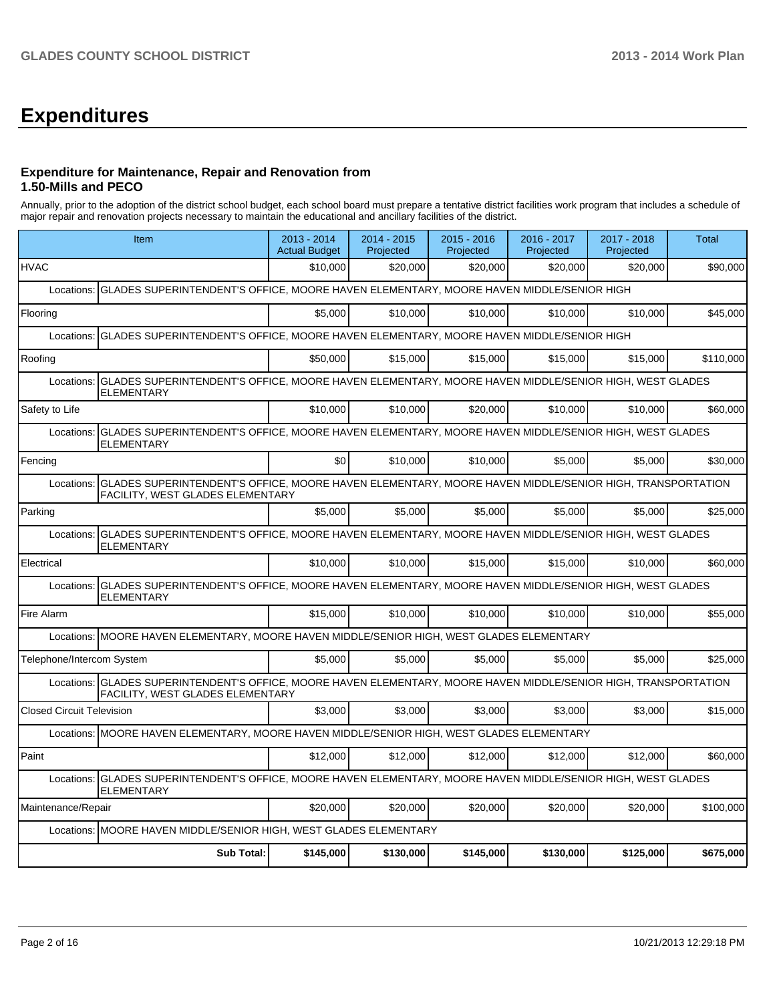# **Expenditures**

### **Expenditure for Maintenance, Repair and Renovation from 1.50-Mills and PECO**

Annually, prior to the adoption of the district school budget, each school board must prepare a tentative district facilities work program that includes a schedule of major repair and renovation projects necessary to maintain the educational and ancillary facilities of the district.

|                                  | Item                                                                                                                                                         |           | 2014 - 2015<br>Projected | 2015 - 2016<br>Projected | 2016 - 2017<br>Projected | 2017 - 2018<br>Projected | <b>Total</b> |  |  |  |
|----------------------------------|--------------------------------------------------------------------------------------------------------------------------------------------------------------|-----------|--------------------------|--------------------------|--------------------------|--------------------------|--------------|--|--|--|
| <b>HVAC</b>                      |                                                                                                                                                              | \$10,000  | \$20,000                 | \$20,000                 | \$20,000                 | \$20.000                 | \$90,000     |  |  |  |
| Locations:                       | GLADES SUPERINTENDENT'S OFFICE, MOORE HAVEN ELEMENTARY, MOORE HAVEN MIDDLE/SENIOR HIGH                                                                       |           |                          |                          |                          |                          |              |  |  |  |
| Flooring                         |                                                                                                                                                              | \$5.000   | \$10,000                 | \$10,000                 | \$10,000                 | \$10,000                 | \$45,000     |  |  |  |
| Locations:                       | GLADES SUPERINTENDENT'S OFFICE, MOORE HAVEN ELEMENTARY, MOORE HAVEN MIDDLE/SENIOR HIGH                                                                       |           |                          |                          |                          |                          |              |  |  |  |
| Roofing                          |                                                                                                                                                              | \$50,000  | \$15,000                 | \$15,000                 | \$15,000                 | \$15,000                 | \$110,000    |  |  |  |
| Locations:                       | GLADES SUPERINTENDENT'S OFFICE, MOORE HAVEN ELEMENTARY, MOORE HAVEN MIDDLE/SENIOR HIGH, WEST GLADES<br><b>ELEMENTARY</b>                                     |           |                          |                          |                          |                          |              |  |  |  |
| Safety to Life                   |                                                                                                                                                              | \$10,000  | \$10,000                 | \$20,000                 | \$10,000                 | \$10,000                 | \$60,000     |  |  |  |
| Locations:                       | GLADES SUPERINTENDENT'S OFFICE, MOORE HAVEN ELEMENTARY, MOORE HAVEN MIDDLE/SENIOR HIGH, WEST GLADES<br><b>ELEMENTARY</b>                                     |           |                          |                          |                          |                          |              |  |  |  |
| Fencing                          |                                                                                                                                                              | \$0       | \$10,000                 | \$10.000                 | \$5.000                  | \$5,000                  | \$30,000     |  |  |  |
| Locations:                       | GLADES SUPERINTENDENT'S OFFICE, MOORE HAVEN ELEMENTARY, MOORE HAVEN MIDDLE/SENIOR HIGH, TRANSPORTATION<br>FACILITY, WEST GLADES ELEMENTARY                   |           |                          |                          |                          |                          |              |  |  |  |
| Parking                          |                                                                                                                                                              | \$5,000   | \$5.000                  | \$5.000                  | \$5.000                  | \$5,000                  | \$25,000     |  |  |  |
| Locations:                       | GLADES SUPERINTENDENT'S OFFICE, MOORE HAVEN ELEMENTARY, MOORE HAVEN MIDDLE/SENIOR HIGH, WEST GLADES<br>ELEMENTARY                                            |           |                          |                          |                          |                          |              |  |  |  |
| Electrical                       |                                                                                                                                                              | \$10,000  | \$10,000                 | \$15,000                 | \$15,000                 | \$10,000                 | \$60,000     |  |  |  |
| Locations:                       | GLADES SUPERINTENDENT'S OFFICE, MOORE HAVEN ELEMENTARY, MOORE HAVEN MIDDLE/SENIOR HIGH, WEST GLADES<br>ELEMENTARY                                            |           |                          |                          |                          |                          |              |  |  |  |
| Fire Alarm                       |                                                                                                                                                              | \$15,000  | \$10,000                 | \$10,000                 | \$10,000                 | \$10,000                 | \$55,000     |  |  |  |
| Locations:                       | MOORE HAVEN ELEMENTARY, MOORE HAVEN MIDDLE/SENIOR HIGH, WEST GLADES ELEMENTARY                                                                               |           |                          |                          |                          |                          |              |  |  |  |
| Telephone/Intercom System        |                                                                                                                                                              | \$5.000   | \$5.000                  | \$5,000                  | \$5.000                  | \$5.000                  | \$25,000     |  |  |  |
|                                  | Locations: GLADES SUPERINTENDENT'S OFFICE, MOORE HAVEN ELEMENTARY, MOORE HAVEN MIDDLE/SENIOR HIGH, TRANSPORTATION<br><b>FACILITY, WEST GLADES ELEMENTARY</b> |           |                          |                          |                          |                          |              |  |  |  |
| <b>Closed Circuit Television</b> |                                                                                                                                                              | \$3,000   | \$3,000                  | \$3,000                  | \$3,000                  | \$3,000                  | \$15,000     |  |  |  |
|                                  | Locations: MOORE HAVEN ELEMENTARY, MOORE HAVEN MIDDLE/SENIOR HIGH, WEST GLADES ELEMENTARY                                                                    |           |                          |                          |                          |                          |              |  |  |  |
| Paint                            |                                                                                                                                                              | \$12,000  | \$12,000                 | \$12,000                 | \$12,000                 | \$12,000                 | \$60,000     |  |  |  |
| Locations:                       | GLADES SUPERINTENDENT'S OFFICE, MOORE HAVEN ELEMENTARY, MOORE HAVEN MIDDLE/SENIOR HIGH, WEST GLADES<br><b>ELEMENTARY</b>                                     |           |                          |                          |                          |                          |              |  |  |  |
| Maintenance/Repair               |                                                                                                                                                              | \$20,000  | \$20,000                 | \$20,000                 | \$20,000                 | \$20,000                 | \$100,000    |  |  |  |
| Locations:                       | MOORE HAVEN MIDDLE/SENIOR HIGH, WEST GLADES ELEMENTARY                                                                                                       |           |                          |                          |                          |                          |              |  |  |  |
|                                  | <b>Sub Total:</b>                                                                                                                                            | \$145,000 | \$130,000                | \$145,000                | \$130,000                | \$125,000                | \$675,000    |  |  |  |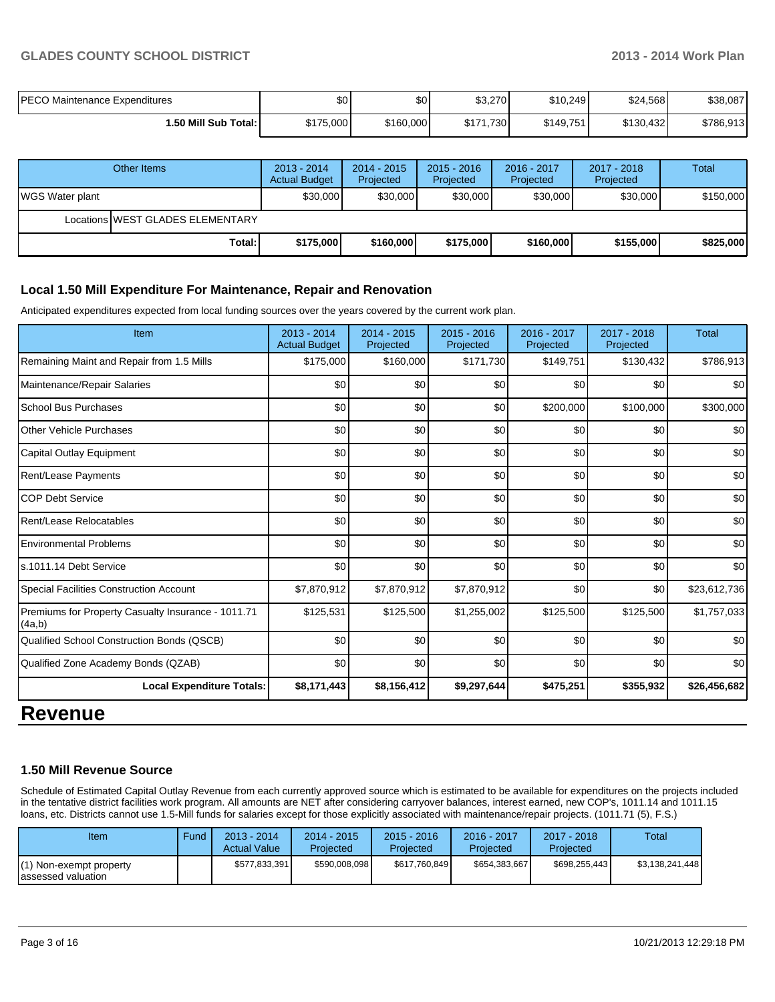### **GLADES COUNTY SCHOOL DISTRICT 2013 - 2014 Work Plan**

| <b>PECO Maintenance Expenditures</b> | \$0       | \$0       | \$3,270       | \$10,249  | \$24,568  | \$38,087  |
|--------------------------------------|-----------|-----------|---------------|-----------|-----------|-----------|
| 1.50 Mill Sub Total: I               | \$175,000 | \$160,000 | \$171<br>,730 | \$149,751 | \$130,432 | \$786,913 |

|                        | Other Items                      | $2013 - 2014$<br><b>Actual Budget</b> | $2014 - 2015$<br>Projected | $2015 - 2016$<br>Projected | 2016 - 2017<br>Projected | 2017 - 2018<br>Projected | Total     |
|------------------------|----------------------------------|---------------------------------------|----------------------------|----------------------------|--------------------------|--------------------------|-----------|
| <b>WGS Water plant</b> |                                  | \$30,000                              | \$30,000                   | \$30,000                   | \$30,000                 | \$30,000                 | \$150,000 |
|                        | Locations WEST GLADES ELEMENTARY |                                       |                            |                            |                          |                          |           |
|                        | Total:                           | \$175,000                             | \$160,000                  | \$175,000                  | \$160,000                | \$155,000                | \$825,000 |

### **Local 1.50 Mill Expenditure For Maintenance, Repair and Renovation**

Anticipated expenditures expected from local funding sources over the years covered by the current work plan.

| Item                                                         | $2013 - 2014$<br><b>Actual Budget</b> | $2014 - 2015$<br>Projected | $2015 - 2016$<br>Projected | 2016 - 2017<br>Projected | $2017 - 2018$<br>Projected | Total        |
|--------------------------------------------------------------|---------------------------------------|----------------------------|----------------------------|--------------------------|----------------------------|--------------|
| Remaining Maint and Repair from 1.5 Mills                    | \$175,000                             | \$160,000                  | \$171,730                  | \$149,751                | \$130,432                  | \$786,913    |
| Maintenance/Repair Salaries                                  | \$0                                   | \$0                        | \$0                        | \$0                      | \$0                        | \$0          |
| School Bus Purchases                                         | \$0                                   | \$0                        | \$0                        | \$200,000                | \$100,000                  | \$300,000    |
| <b>Other Vehicle Purchases</b>                               | \$0                                   | \$0                        | \$0                        | \$0                      | \$0                        | \$0          |
| Capital Outlay Equipment                                     | \$0                                   | \$0                        | \$0                        | \$0                      | \$0                        | \$0          |
| Rent/Lease Payments                                          | \$0                                   | \$0                        | \$0                        | \$0                      | \$0                        | \$0          |
| <b>COP Debt Service</b>                                      | \$0                                   | \$0                        | \$0                        | \$0                      | \$0                        | \$0          |
| Rent/Lease Relocatables                                      | \$0                                   | \$0                        | \$0                        | \$0                      | \$0                        | \$0          |
| <b>Environmental Problems</b>                                | \$0                                   | \$0                        | \$0                        | \$0                      | \$0                        | \$0          |
| s.1011.14 Debt Service                                       | \$0                                   | \$0                        | \$0                        | \$0                      | \$0                        | \$0          |
| Special Facilities Construction Account                      | \$7,870,912                           | \$7,870,912                | \$7,870,912                | \$0                      | \$0                        | \$23,612,736 |
| Premiums for Property Casualty Insurance - 1011.71<br>(4a,b) | \$125,531                             | \$125,500                  | \$1,255,002                | \$125,500                | \$125,500                  | \$1,757,033  |
| Qualified School Construction Bonds (QSCB)                   | \$0                                   | \$0                        | \$0                        | \$0                      | \$0                        | \$0          |
| Qualified Zone Academy Bonds (QZAB)                          | \$0                                   | \$0                        | \$0                        | \$0                      | \$0                        | \$0          |
| <b>Local Expenditure Totals:</b>                             | \$8,171,443                           | \$8,156,412                | \$9,297,644                | \$475,251                | \$355,932                  | \$26,456,682 |

## **Revenue**

### **1.50 Mill Revenue Source**

Schedule of Estimated Capital Outlay Revenue from each currently approved source which is estimated to be available for expenditures on the projects included in the tentative district facilities work program. All amounts are NET after considering carryover balances, interest earned, new COP's, 1011.14 and 1011.15 loans, etc. Districts cannot use 1.5-Mill funds for salaries except for those explicitly associated with maintenance/repair projects. (1011.71 (5), F.S.)

| Item                                          | Fund | $2013 - 2014$<br><b>Actual Value</b> | $2014 - 2015$<br>Projected | $2015 - 2016$<br>Projected | 2016 - 2017<br>Projected | $2017 - 2018$<br>Projected | Total           |
|-----------------------------------------------|------|--------------------------------------|----------------------------|----------------------------|--------------------------|----------------------------|-----------------|
| i) Non-exempt property<br>lassessed valuation |      | \$577.833.391                        | \$590.008.098              | \$617,760,849              | \$654.383.667            | \$698.255.443              | \$3.138.241.448 |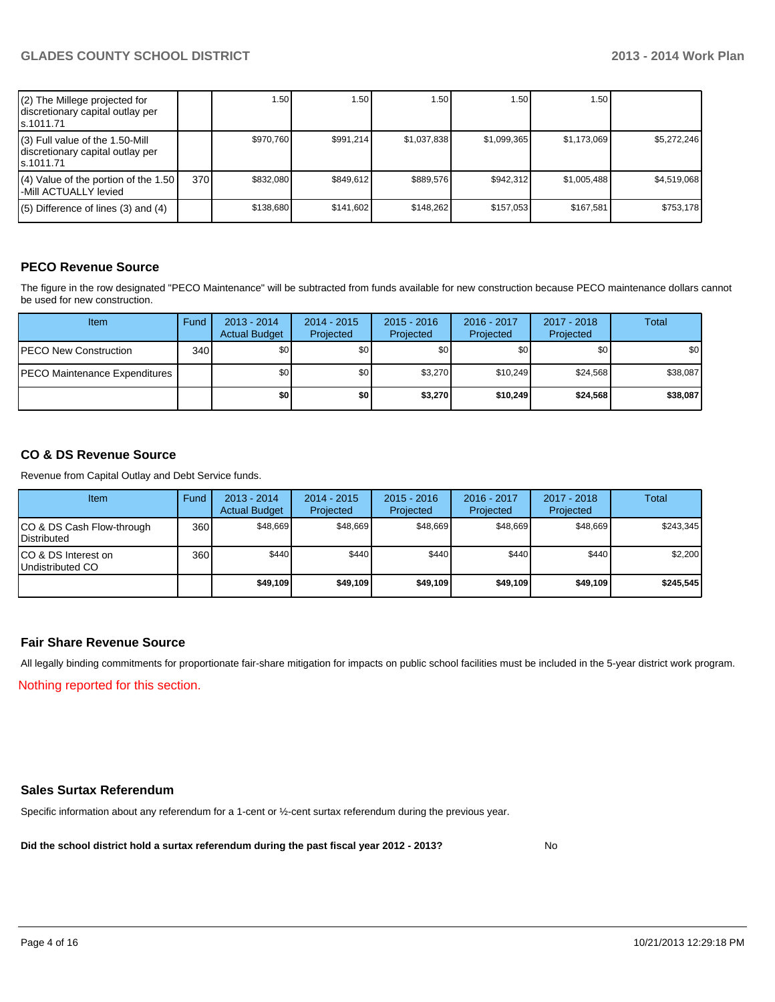| $(2)$ The Millege projected for<br>discretionary capital outlay per<br>ls.1011.71 |     | 1.50      | .50 <sub>1</sub> | 1.50 <sub>1</sub> | 1.50        | 1.50 l      |             |
|-----------------------------------------------------------------------------------|-----|-----------|------------------|-------------------|-------------|-------------|-------------|
| (3) Full value of the 1.50-Mill<br>discretionary capital outlay per<br>ls.1011.71 |     | \$970.760 | \$991.214        | \$1.037.838       | \$1.099.365 | \$1,173,069 | \$5.272.246 |
| (4) Value of the portion of the 1.50<br>-Mill ACTUALLY levied                     | 370 | \$832.080 | \$849.612        | \$889.576         | \$942.312   | \$1,005,488 | \$4,519,068 |
| $(5)$ Difference of lines (3) and (4)                                             |     | \$138,680 | \$141.602        | \$148.262         | \$157.053   | \$167.581   | \$753,178   |

### **PECO Revenue Source**

The figure in the row designated "PECO Maintenance" will be subtracted from funds available for new construction because PECO maintenance dollars cannot be used for new construction.

| <b>Item</b>                          | Fund | $2013 - 2014$<br><b>Actual Budget</b> | $2014 - 2015$<br>Projected | $2015 - 2016$<br>Projected | 2016 - 2017<br>Projected | 2017 - 2018<br>Projected | Total    |
|--------------------------------------|------|---------------------------------------|----------------------------|----------------------------|--------------------------|--------------------------|----------|
| <b>PECO New Construction</b>         | 340  | \$0                                   | \$0                        | \$0                        | \$0                      | \$0                      | \$0      |
| <b>PECO Maintenance Expenditures</b> |      | \$0                                   | \$0                        | \$3.270                    | \$10.249                 | \$24.568                 | \$38,087 |
|                                      |      | \$0 I                                 | \$0                        | \$3.270                    | \$10,249                 | \$24,568                 | \$38,087 |

### **CO & DS Revenue Source**

Revenue from Capital Outlay and Debt Service funds.

| Item                                               | Fund | 2013 - 2014<br><b>Actual Budget</b> | $2014 - 2015$<br>Projected | $2015 - 2016$<br>Projected | 2016 - 2017<br>Projected | $2017 - 2018$<br>Projected | Total     |
|----------------------------------------------------|------|-------------------------------------|----------------------------|----------------------------|--------------------------|----------------------------|-----------|
| ICO & DS Cash Flow-through<br><b>I</b> Distributed | 360  | \$48.669                            | \$48.669                   | \$48.669                   | \$48.669                 | \$48,669                   | \$243,345 |
| ICO & DS Interest on<br>Undistributed CO           | 360  | \$440                               | \$440                      | \$440                      | \$440                    | \$440                      | \$2,200   |
|                                                    |      | \$49,109                            | \$49,109                   | \$49,109                   | \$49,109                 | \$49,109                   | \$245,545 |

### **Fair Share Revenue Source**

Nothing reported for this section. All legally binding commitments for proportionate fair-share mitigation for impacts on public school facilities must be included in the 5-year district work program.

### **Sales Surtax Referendum**

Specific information about any referendum for a 1-cent or ½-cent surtax referendum during the previous year.

**Did the school district hold a surtax referendum during the past fiscal year 2012 - 2013?**

No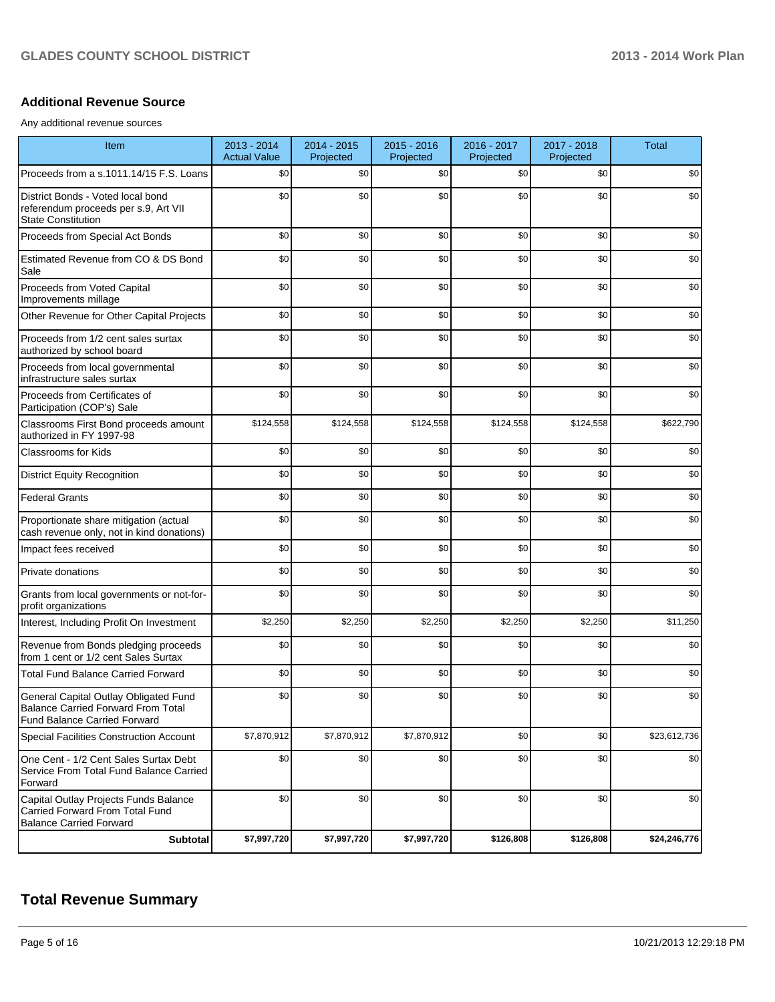### **Additional Revenue Source**

Any additional revenue sources

| Item                                                                                                                      | 2013 - 2014<br><b>Actual Value</b> | 2014 - 2015<br>Projected | 2015 - 2016<br>Projected | 2016 - 2017<br>Projected | 2017 - 2018<br>Projected | <b>Total</b> |
|---------------------------------------------------------------------------------------------------------------------------|------------------------------------|--------------------------|--------------------------|--------------------------|--------------------------|--------------|
| Proceeds from a s.1011.14/15 F.S. Loans                                                                                   | \$0                                | \$0                      | \$0                      | \$0                      | \$0                      | \$0          |
| District Bonds - Voted local bond<br>referendum proceeds per s.9, Art VII<br><b>State Constitution</b>                    | \$0                                | \$0                      | \$0                      | \$0                      | \$0                      | \$0          |
| Proceeds from Special Act Bonds                                                                                           | \$0                                | \$0                      | \$0                      | \$0                      | \$0                      | \$0          |
| Estimated Revenue from CO & DS Bond<br>Sale                                                                               | \$0                                | \$0                      | \$0                      | \$0                      | \$0                      | \$0          |
| Proceeds from Voted Capital<br>Improvements millage                                                                       | \$0                                | \$0                      | \$0                      | \$0                      | \$0                      | \$0          |
| Other Revenue for Other Capital Projects                                                                                  | \$0                                | \$0                      | \$0                      | \$0                      | \$0                      | \$0          |
| Proceeds from 1/2 cent sales surtax<br>authorized by school board                                                         | \$0                                | \$0                      | \$0                      | \$0                      | \$0                      | \$0          |
| Proceeds from local governmental<br>infrastructure sales surtax                                                           | \$0                                | \$0                      | \$0                      | \$0                      | \$0                      | \$0          |
| Proceeds from Certificates of<br>Participation (COP's) Sale                                                               | \$0                                | \$0                      | \$0                      | \$0                      | \$0                      | \$0          |
| Classrooms First Bond proceeds amount<br>authorized in FY 1997-98                                                         | \$124,558                          | \$124,558                | \$124,558                | \$124,558                | \$124,558                | \$622,790    |
| Classrooms for Kids                                                                                                       | \$0                                | \$0                      | \$0                      | \$0                      | \$0                      | \$0          |
| <b>District Equity Recognition</b>                                                                                        | \$0                                | \$0                      | \$0                      | \$0                      | \$0                      | \$0          |
| <b>Federal Grants</b>                                                                                                     | \$0                                | \$0                      | \$0                      | \$0                      | \$0                      | \$0          |
| Proportionate share mitigation (actual<br>cash revenue only, not in kind donations)                                       | \$0                                | \$0                      | \$0                      | \$0                      | \$0                      | \$0          |
| Impact fees received                                                                                                      | \$0                                | \$0                      | \$0                      | \$0                      | \$0                      | \$0          |
| Private donations                                                                                                         | \$0                                | \$0                      | \$0                      | \$0                      | \$0                      | \$0          |
| Grants from local governments or not-for-<br>profit organizations                                                         | \$0                                | \$0                      | \$0                      | \$0                      | \$0                      | \$0          |
| Interest, Including Profit On Investment                                                                                  | \$2,250                            | \$2,250                  | \$2,250                  | \$2,250                  | \$2,250                  | \$11,250     |
| Revenue from Bonds pledging proceeds<br>from 1 cent or 1/2 cent Sales Surtax                                              | \$0                                | \$0                      | \$0                      | \$0                      | \$0                      | \$0          |
| <b>Total Fund Balance Carried Forward</b>                                                                                 | \$0                                | \$0                      | \$0                      | \$0                      | \$0                      | \$0          |
| General Capital Outlay Obligated Fund<br><b>Balance Carried Forward From Total</b><br><b>Fund Balance Carried Forward</b> | \$0                                | \$0                      | \$0                      | \$0                      | \$0                      | \$0          |
| Special Facilities Construction Account                                                                                   | \$7,870,912                        | \$7,870,912              | \$7,870,912              | \$0                      | \$0                      | \$23,612,736 |
| One Cent - 1/2 Cent Sales Surtax Debt<br>Service From Total Fund Balance Carried<br>Forward                               | \$0                                | \$0                      | \$0                      | \$0                      | \$0                      | \$0          |
| Capital Outlay Projects Funds Balance<br>Carried Forward From Total Fund<br><b>Balance Carried Forward</b>                | \$0                                | \$0                      | \$0                      | \$0                      | \$0                      | \$0          |
| Subtotal                                                                                                                  | \$7,997,720                        | \$7,997,720              | \$7,997,720              | \$126,808                | \$126,808                | \$24,246,776 |

# **Total Revenue Summary**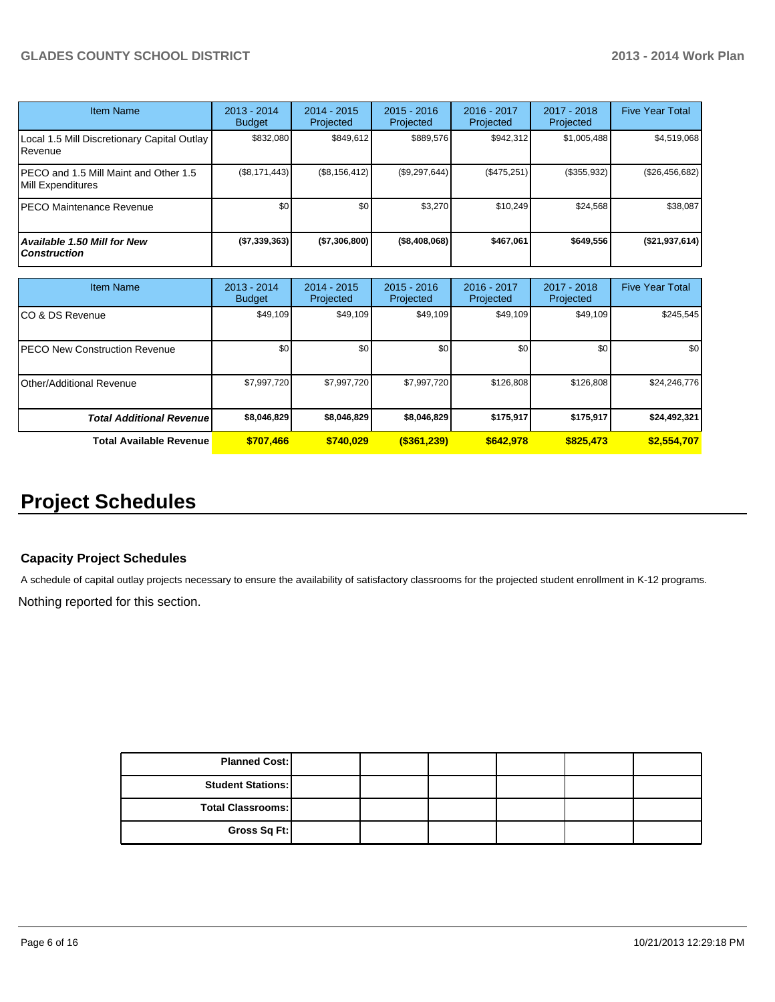| <b>Item Name</b>                                           | 2013 - 2014<br><b>Budget</b> | $2014 - 2015$<br>Projected | $2015 - 2016$<br>Projected | 2016 - 2017<br>Projected | 2017 - 2018<br>Projected | <b>Five Year Total</b> |
|------------------------------------------------------------|------------------------------|----------------------------|----------------------------|--------------------------|--------------------------|------------------------|
| Local 1.5 Mill Discretionary Capital Outlay  <br>Revenue   | \$832,080                    | \$849.612                  | \$889.576                  | \$942.312                | \$1,005,488              | \$4,519,068            |
| PECO and 1.5 Mill Maint and Other 1.5<br>Mill Expenditures | (\$8,171,443)                | (\$8,156,412)              | (\$9,297,644)              | (S475, 251)              | (\$355,932)              | (\$26,456,682)         |
| PECO Maintenance Revenue                                   | \$0                          | \$0                        | \$3,270                    | \$10.249                 | \$24,568                 | \$38,087               |
| <b>Available 1.50 Mill for New</b><br><b>Construction</b>  | (\$7,339,363)                | (S7,306,800)               | ( \$8,408,068)             | \$467,061                | \$649.556                | ( \$21, 937, 614)      |

| <b>Item Name</b>                      | 2013 - 2014<br><b>Budget</b> | $2014 - 2015$<br>Projected | $2015 - 2016$<br>Projected | 2016 - 2017<br>Projected | 2017 - 2018<br>Projected | <b>Five Year Total</b> |
|---------------------------------------|------------------------------|----------------------------|----------------------------|--------------------------|--------------------------|------------------------|
| ICO & DS Revenue                      | \$49,109                     | \$49,109                   | \$49,109                   | \$49,109                 | \$49,109                 | \$245,545              |
| <b>IPECO New Construction Revenue</b> | \$0                          | \$0                        | \$0                        | \$0                      | \$0 <sub>1</sub>         | \$0 <sub>1</sub>       |
| <b>I</b> Other/Additional Revenue     | \$7,997,720                  | \$7,997,720                | \$7,997,720                | \$126,808                | \$126,808                | \$24,246,776           |
| <b>Total Additional Revenuel</b>      | \$8,046,829                  | \$8,046,829                | \$8,046,829                | \$175,917                | \$175,917                | \$24,492,321           |
| <b>Total Available Revenue</b>        | \$707,466                    | \$740.029                  | $($ \$361,239)             | \$642.978                | \$825,473                | \$2,554,707            |

# **Project Schedules**

### **Capacity Project Schedules**

A schedule of capital outlay projects necessary to ensure the availability of satisfactory classrooms for the projected student enrollment in K-12 programs.

Nothing reported for this section.

| <b>Planned Cost:</b>     |  |  |  |
|--------------------------|--|--|--|
| <b>Student Stations:</b> |  |  |  |
| Total Classrooms:        |  |  |  |
| Gross Sq Ft:             |  |  |  |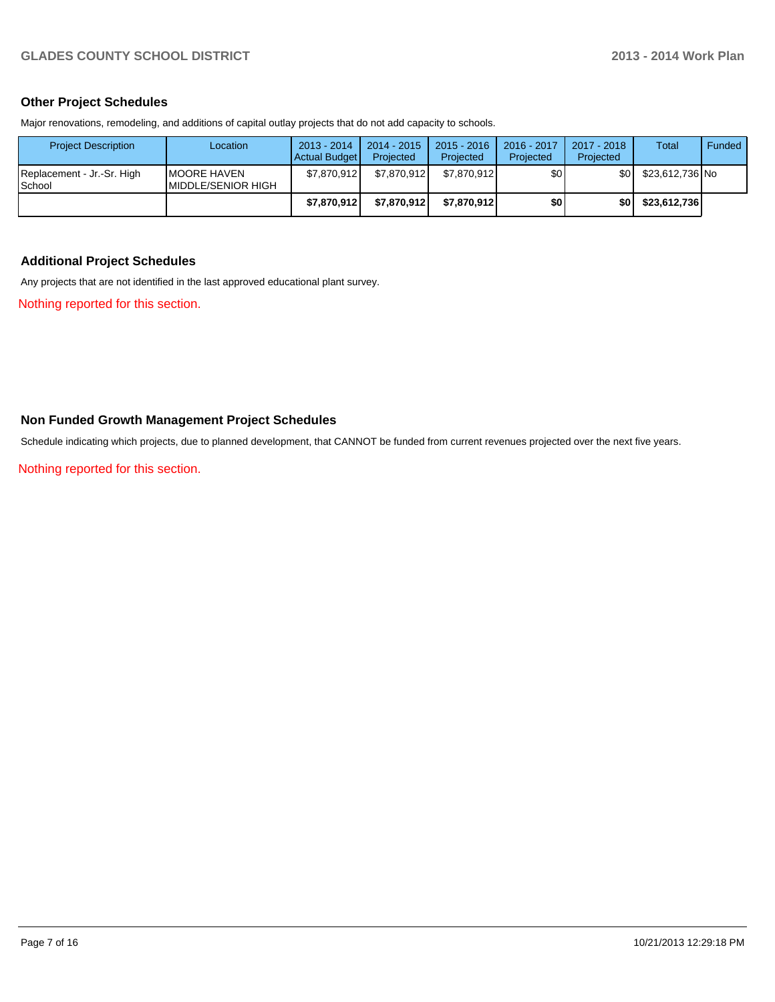### **Other Project Schedules**

Major renovations, remodeling, and additions of capital outlay projects that do not add capacity to schools.

| <b>Project Description</b>           | Location                                   | 2013 - 2014<br>Actual Budget | 2014 - 2015<br>Projected | $2015 - 2016$<br>Projected | 2016 - 2017<br>Projected | 2017 - 2018<br>Projected | Total           | Funded |
|--------------------------------------|--------------------------------------------|------------------------------|--------------------------|----------------------------|--------------------------|--------------------------|-----------------|--------|
| Replacement - Jr.-Sr. High<br>School | <b>IMOORE HAVEN</b><br>IMIDDLE/SENIOR HIGH | \$7.870.912                  | \$7.870.912              | \$7.870.912                | \$0                      | \$0                      | \$23.612.736 No |        |
|                                      |                                            | \$7.870.912                  | \$7.870.912              | \$7.870.912                | ا 30                     | \$0                      | \$23,612,736    |        |

### **Additional Project Schedules**

Any projects that are not identified in the last approved educational plant survey.

Nothing reported for this section.

### **Non Funded Growth Management Project Schedules**

Schedule indicating which projects, due to planned development, that CANNOT be funded from current revenues projected over the next five years.

Nothing reported for this section.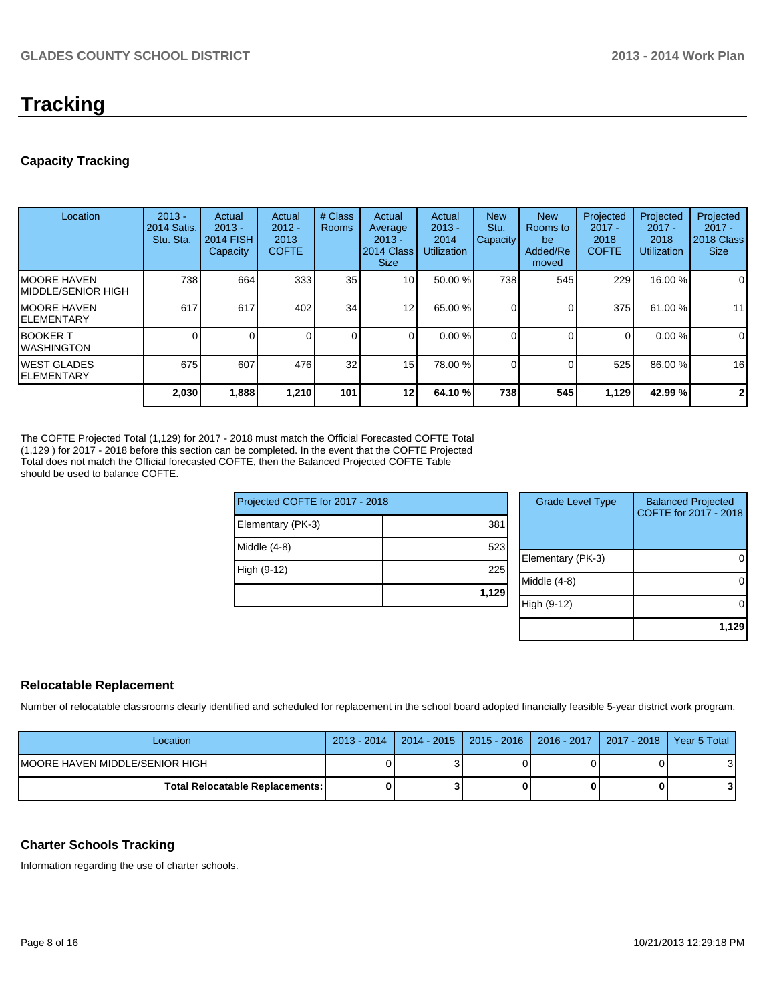# **Tracking**

### **Capacity Tracking**

| Location                            | $2013 -$<br>2014 Satis.<br>Stu. Sta. | Actual<br>$2013 -$<br><b>2014 FISH</b><br>Capacity | Actual<br>$2012 -$<br>2013<br><b>COFTE</b> | # Class<br><b>Rooms</b> | Actual<br>Average<br>$2013 -$<br>2014 Class<br><b>Size</b> | Actual<br>$2013 -$<br>2014<br><b>Utilization</b> | <b>New</b><br>Stu.<br>Capacity | <b>New</b><br>Rooms to<br>be<br>Added/Re<br>moved | Projected<br>$2017 -$<br>2018<br><b>COFTE</b> | Projected<br>$2017 -$<br>2018<br>Utilization | Projected<br>$2017 -$<br>2018 Class<br><b>Size</b> |
|-------------------------------------|--------------------------------------|----------------------------------------------------|--------------------------------------------|-------------------------|------------------------------------------------------------|--------------------------------------------------|--------------------------------|---------------------------------------------------|-----------------------------------------------|----------------------------------------------|----------------------------------------------------|
| IMOORE HAVEN<br>IMIDDLE/SENIOR HIGH | 738                                  | 664                                                | 333                                        | 35                      | 10 <sup>1</sup>                                            | 50.00 %                                          | 738                            | 545                                               | 229                                           | 16.00 %                                      | 0                                                  |
| IMOORE HAVEN<br>IELEMENTARY         | 617                                  | 617                                                | 402                                        | 34                      | 12                                                         | 65.00 %                                          |                                |                                                   | 375                                           | 61.00%                                       | 11                                                 |
| IBOOKER T<br>IWASHINGTON            |                                      |                                                    |                                            |                         |                                                            | 0.00%                                            |                                |                                                   | $\Omega$                                      | 0.00%                                        | 0                                                  |
| IWEST GLADES<br>IELEMENTARY         | 675                                  | 607                                                | 476                                        | 32 <sub>1</sub>         | 15 <sup>1</sup>                                            | 78.00 %                                          |                                |                                                   | 525                                           | 86.00 %                                      | 16                                                 |
|                                     | 2,030                                | 1,888                                              | 1,210                                      | 101                     | 12                                                         | 64.10 %                                          | 738                            | 545                                               | 1,129                                         | 42.99%                                       | $\mathbf{2}$                                       |

The COFTE Projected Total (1,129) for 2017 - 2018 must match the Official Forecasted COFTE Total (1,129 ) for 2017 - 2018 before this section can be completed. In the event that the COFTE Projected Total does not match the Official forecasted COFTE, then the Balanced Projected COFTE Table should be used to balance COFTE.

| Projected COFTE for 2017 - 2018 |  |  |  |  |  |
|---------------------------------|--|--|--|--|--|
| 381                             |  |  |  |  |  |
| 523                             |  |  |  |  |  |
| 225                             |  |  |  |  |  |
| 1,129                           |  |  |  |  |  |
|                                 |  |  |  |  |  |

| <b>Grade Level Type</b> | <b>Balanced Projected</b><br>COFTE for 2017 - 2018 |
|-------------------------|----------------------------------------------------|
| Elementary (PK-3)       |                                                    |
| Middle (4-8)            |                                                    |
| High (9-12)             |                                                    |
|                         | 1,129                                              |

### **Relocatable Replacement**

Number of relocatable classrooms clearly identified and scheduled for replacement in the school board adopted financially feasible 5-year district work program.

| Location                        |  | 2013 - 2014   2014 - 2015   2015 - 2016   2016 - 2017   2017 - 2018   Year 5 Total |  |
|---------------------------------|--|------------------------------------------------------------------------------------|--|
| IMOORE HAVEN MIDDLE/SENIOR HIGH |  |                                                                                    |  |
| Total Relocatable Replacements: |  |                                                                                    |  |

### **Charter Schools Tracking**

Information regarding the use of charter schools.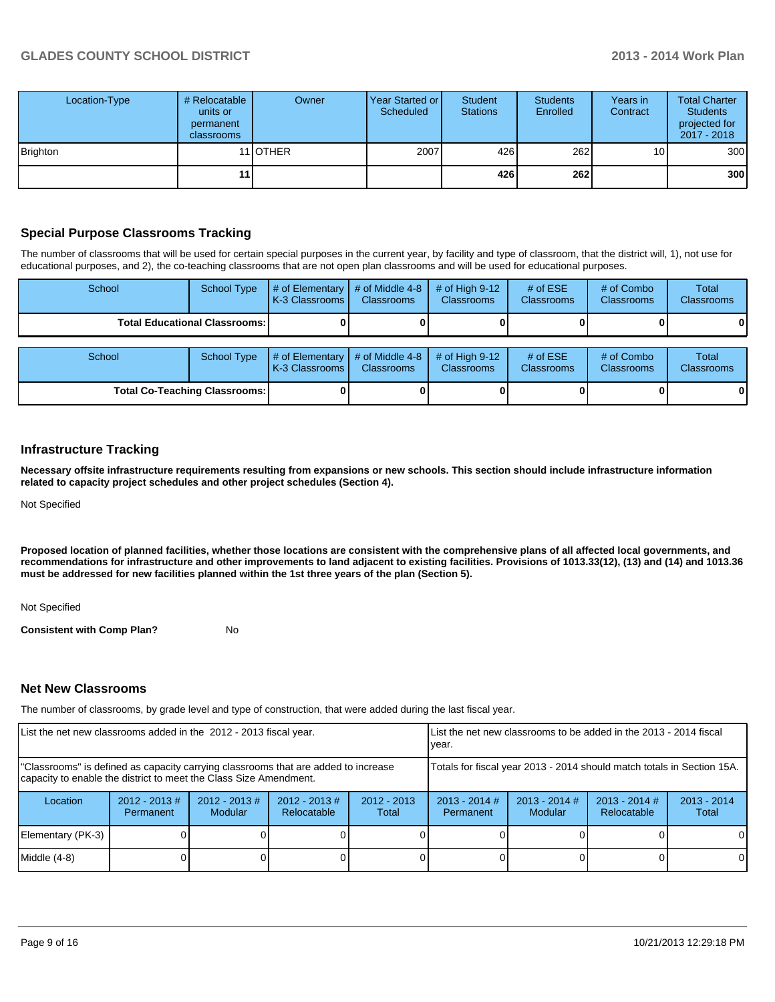| Location-Type   | # Relocatable<br>units or<br>permanent<br>classrooms | Owner            | Year Started or<br>Scheduled | Student<br><b>Stations</b> | <b>Students</b><br>Enrolled | Years in<br>Contract | <b>Total Charter</b><br><b>Students</b><br>projected for<br>2017 - 2018 |
|-----------------|------------------------------------------------------|------------------|------------------------------|----------------------------|-----------------------------|----------------------|-------------------------------------------------------------------------|
| <b>Brighton</b> |                                                      | 11 <b>IOTHER</b> | 2007                         | 426                        | 262                         | 10 <sub>1</sub>      | 300                                                                     |
|                 | 11                                                   |                  |                              | 426                        | <b>262</b>                  |                      | 300                                                                     |

### **Special Purpose Classrooms Tracking**

The number of classrooms that will be used for certain special purposes in the current year, by facility and type of classroom, that the district will, 1), not use for educational purposes, and 2), the co-teaching classrooms that are not open plan classrooms and will be used for educational purposes.

| School | School Type                            | $\vert \#$ of Elementary $\vert \#$ of Middle 4-8 $\vert \$<br>K-3 Classrooms I | <b>Classrooms</b> | $\#$ of High 9-12<br><b>Classrooms</b> | # of $ESE$<br><b>Classrooms</b> | # of Combo<br><b>Classrooms</b> | Total<br><b>Classrooms</b> |
|--------|----------------------------------------|---------------------------------------------------------------------------------|-------------------|----------------------------------------|---------------------------------|---------------------------------|----------------------------|
|        | <b>Total Educational Classrooms: I</b> |                                                                                 |                   |                                        |                                 |                                 | 01                         |
|        |                                        |                                                                                 |                   |                                        |                                 |                                 |                            |
| School | School Type                            | $\vert \#$ of Elementary $\vert \#$ of Middle 4-8 $\vert \$<br>K-3 Classrooms   | <b>Classrooms</b> | $\#$ of High 9-12<br><b>Classrooms</b> | # of $ESE$<br><b>Classrooms</b> | # of Combo<br><b>Classrooms</b> | Total<br><b>Classrooms</b> |

**Total Co-Teaching Classrooms: 0 0 0 0 0 0**

#### **Infrastructure Tracking**

**Necessary offsite infrastructure requirements resulting from expansions or new schools. This section should include infrastructure information related to capacity project schedules and other project schedules (Section 4).**

Not Specified

**Proposed location of planned facilities, whether those locations are consistent with the comprehensive plans of all affected local governments, and recommendations for infrastructure and other improvements to land adjacent to existing facilities. Provisions of 1013.33(12), (13) and (14) and 1013.36 must be addressed for new facilities planned within the 1st three years of the plan (Section 5).**

Not Specified

**Consistent with Comp Plan?** No

#### **Net New Classrooms**

The number of classrooms, by grade level and type of construction, that were added during the last fiscal year.

| List the net new classrooms added in the 2012 - 2013 fiscal year. |                              |                             |                                                                                                                                                                                                                                   |                        | Llist the net new classrooms to be added in the 2013 - 2014 fiscal<br>vear. |                                   |                                |                        |
|-------------------------------------------------------------------|------------------------------|-----------------------------|-----------------------------------------------------------------------------------------------------------------------------------------------------------------------------------------------------------------------------------|------------------------|-----------------------------------------------------------------------------|-----------------------------------|--------------------------------|------------------------|
|                                                                   |                              |                             | "Classrooms" is defined as capacity carrying classrooms that are added to increase<br>Totals for fiscal year 2013 - 2014 should match totals in Section 15A.<br>capacity to enable the district to meet the Class Size Amendment. |                        |                                                                             |                                   |                                |                        |
| Location                                                          | $2012 - 2013$ #<br>Permanent | $2012 - 2013 \#$<br>Modular | $2012 - 2013$ #<br>Relocatable                                                                                                                                                                                                    | $2012 - 2013$<br>Total | $2013 - 2014$ #<br>Permanent                                                | $2013 - 2014$ #<br><b>Modular</b> | $2013 - 2014$ #<br>Relocatable | $2013 - 2014$<br>Total |
| Elementary (PK-3)                                                 |                              |                             |                                                                                                                                                                                                                                   |                        |                                                                             |                                   |                                | $\Omega$               |
| $Middle (4-8)$                                                    |                              |                             |                                                                                                                                                                                                                                   |                        |                                                                             |                                   |                                | 0                      |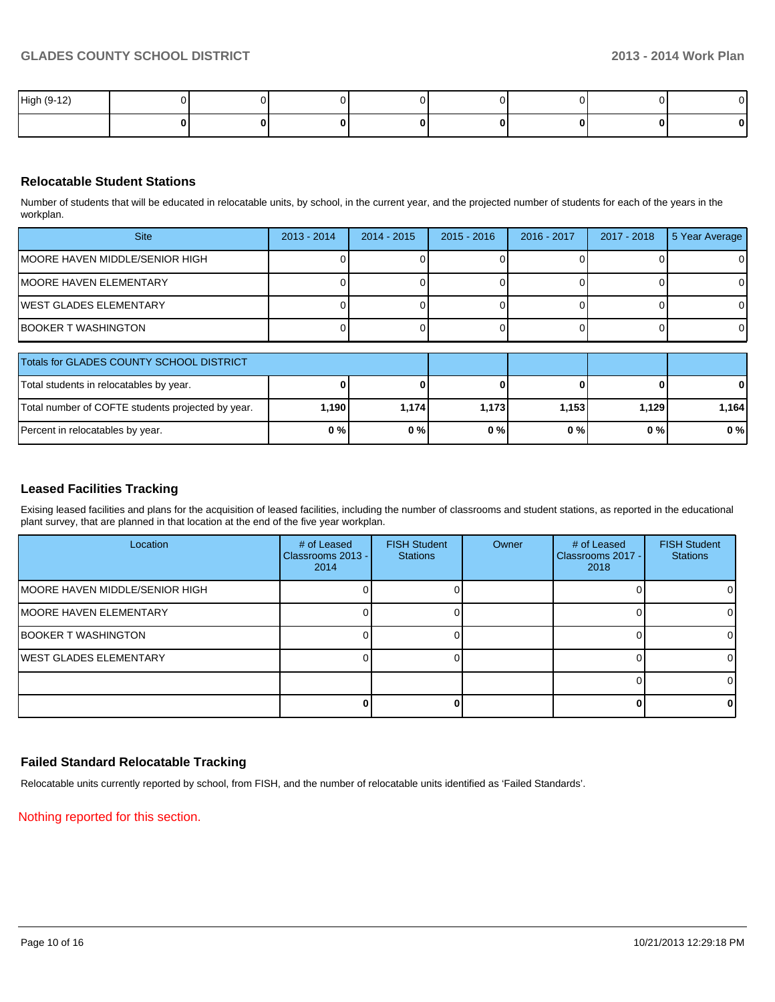| High (9-12) |  |  |  |   |
|-------------|--|--|--|---|
|             |  |  |  | U |

### **Relocatable Student Stations**

Number of students that will be educated in relocatable units, by school, in the current year, and the projected number of students for each of the years in the workplan.

| <b>Site</b>                     | $2013 - 2014$ | $2014 - 2015$ | $2015 - 2016$ | 2016 - 2017 | 2017 - 2018 | 5 Year Average |
|---------------------------------|---------------|---------------|---------------|-------------|-------------|----------------|
| IMOORE HAVEN MIDDLE/SENIOR HIGH |               |               |               |             |             | $\Omega$       |
| IMOORE HAVEN ELEMENTARY         |               |               |               |             |             | $\Omega$       |
| IWEST GLADES ELEMENTARY         |               |               |               |             |             | $\Omega$       |
| IBOOKER T WASHINGTON            |               |               |               |             |             | $\Omega$       |

| Totals for GLADES COUNTY SCHOOL DISTRICT          |         |         |        |       |       |       |
|---------------------------------------------------|---------|---------|--------|-------|-------|-------|
| Total students in relocatables by year.           |         |         |        |       |       | 0     |
| Total number of COFTE students projected by year. | 1.190 l | 1.174 l | 1.1731 | 1.153 | 1.129 | 1.164 |
| Percent in relocatables by year.                  | 0%      | 0%      | 0%     | 0 % I | 0%    | 0%    |

### **Leased Facilities Tracking**

Exising leased facilities and plans for the acquisition of leased facilities, including the number of classrooms and student stations, as reported in the educational plant survey, that are planned in that location at the end of the five year workplan.

| Location                               | # of Leased<br>Classrooms 2013 -<br>2014 | <b>FISH Student</b><br><b>Stations</b> | Owner | # of Leased<br>Classrooms 2017 -<br>2018 | <b>FISH Student</b><br><b>Stations</b> |
|----------------------------------------|------------------------------------------|----------------------------------------|-------|------------------------------------------|----------------------------------------|
| <b>IMOORE HAVEN MIDDLE/SENIOR HIGH</b> |                                          |                                        |       |                                          | $\Omega$                               |
| <b>MOORE HAVEN ELEMENTARY</b>          |                                          |                                        |       |                                          | $\Omega$                               |
| <b>BOOKER T WASHINGTON</b>             |                                          |                                        |       |                                          |                                        |
| <b>IWEST GLADES ELEMENTARY</b>         |                                          |                                        |       |                                          | ΩI                                     |
|                                        |                                          |                                        |       |                                          |                                        |
|                                        |                                          |                                        |       |                                          | 0                                      |

### **Failed Standard Relocatable Tracking**

Relocatable units currently reported by school, from FISH, and the number of relocatable units identified as 'Failed Standards'.

Nothing reported for this section.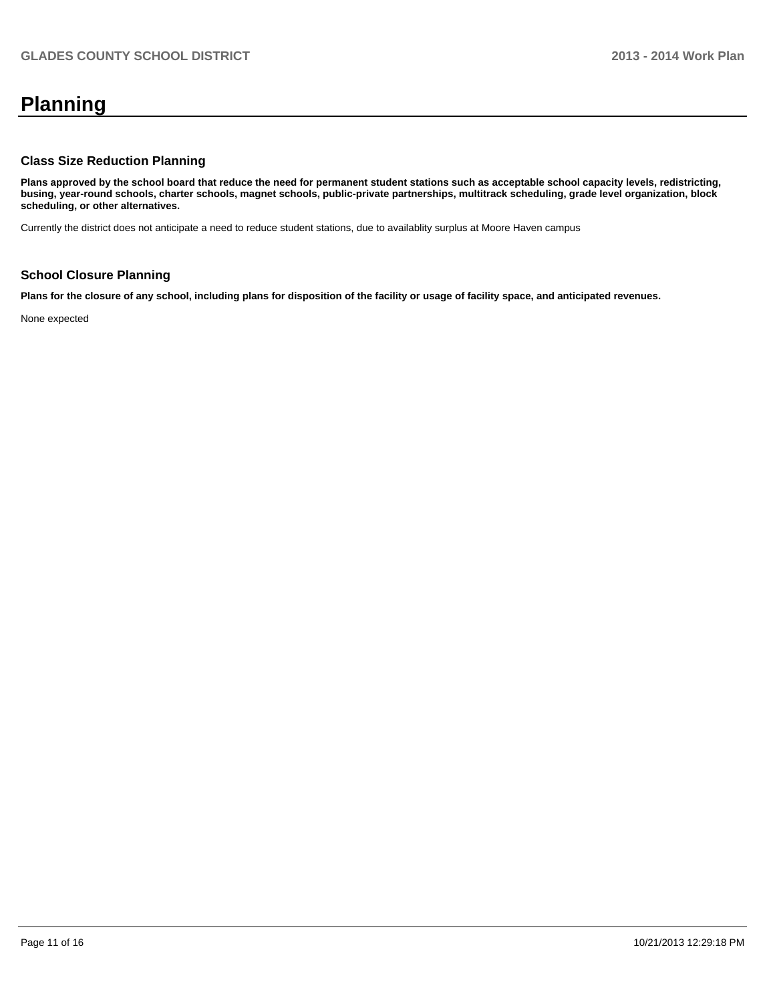# **Planning**

### **Class Size Reduction Planning**

**Plans approved by the school board that reduce the need for permanent student stations such as acceptable school capacity levels, redistricting, busing, year-round schools, charter schools, magnet schools, public-private partnerships, multitrack scheduling, grade level organization, block scheduling, or other alternatives.**

Currently the district does not anticipate a need to reduce student stations, due to availablity surplus at Moore Haven campus

### **School Closure Planning**

**Plans for the closure of any school, including plans for disposition of the facility or usage of facility space, and anticipated revenues.**

None expected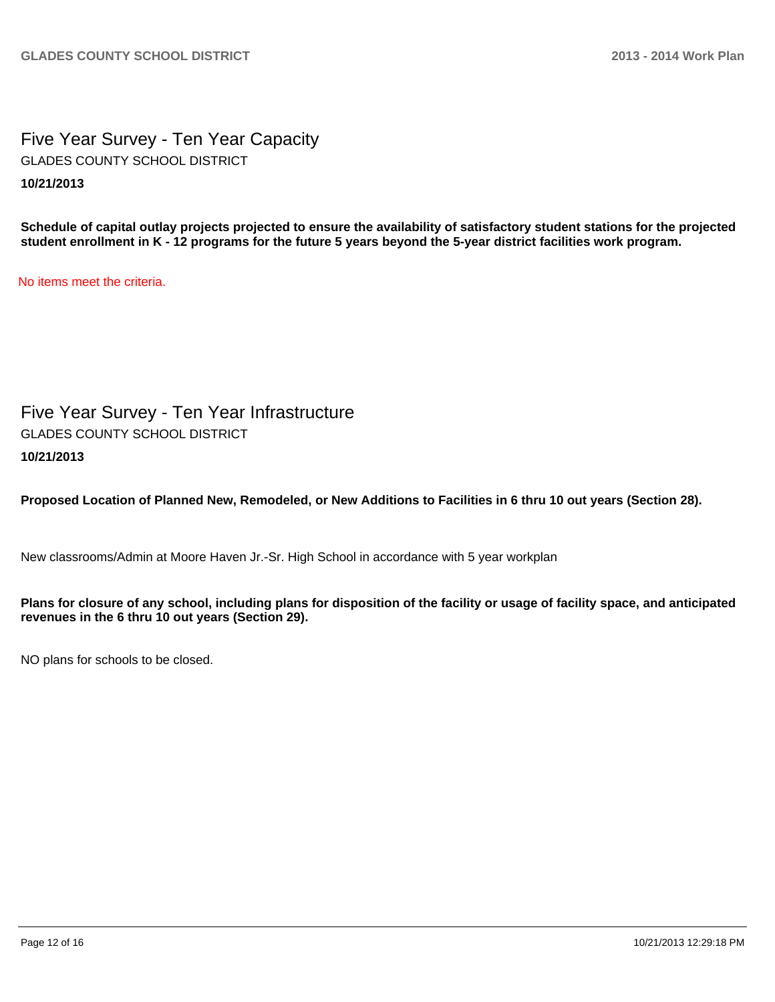Five Year Survey - Ten Year Capacity **10/21/2013** GLADES COUNTY SCHOOL DISTRICT

**Schedule of capital outlay projects projected to ensure the availability of satisfactory student stations for the projected student enrollment in K - 12 programs for the future 5 years beyond the 5-year district facilities work program.**

No items meet the criteria.

Five Year Survey - Ten Year Infrastructure **10/21/2013** GLADES COUNTY SCHOOL DISTRICT

**Proposed Location of Planned New, Remodeled, or New Additions to Facilities in 6 thru 10 out years (Section 28).**

New classrooms/Admin at Moore Haven Jr.-Sr. High School in accordance with 5 year workplan

**Plans for closure of any school, including plans for disposition of the facility or usage of facility space, and anticipated revenues in the 6 thru 10 out years (Section 29).**

NO plans for schools to be closed.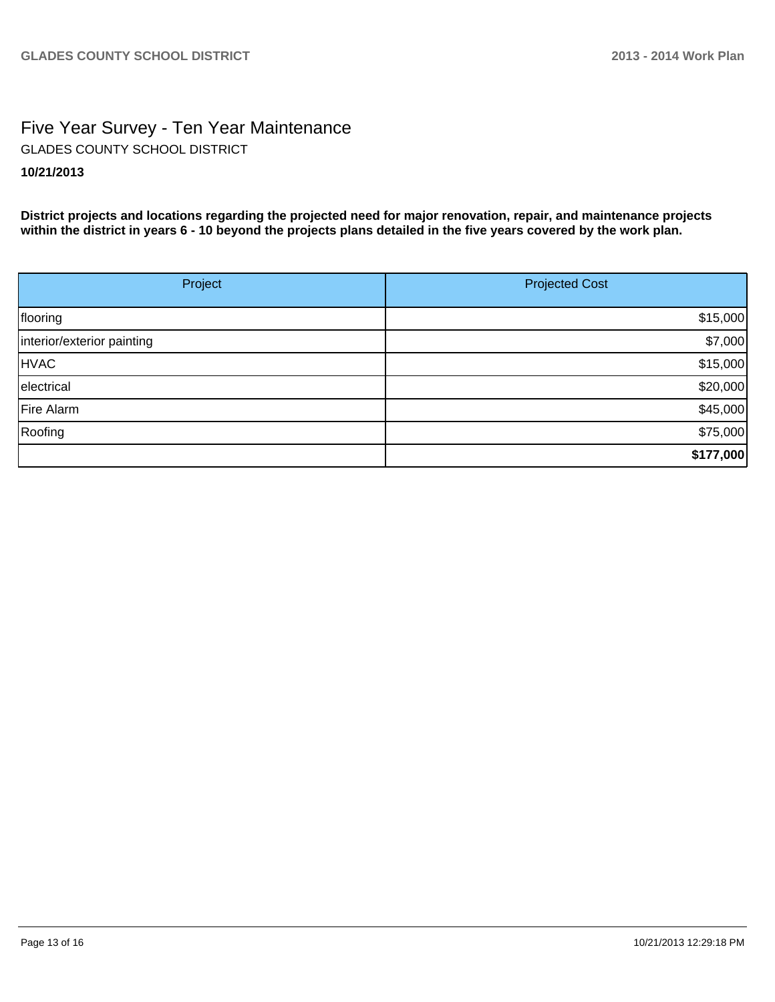## Five Year Survey - Ten Year Maintenance **10/21/2013** GLADES COUNTY SCHOOL DISTRICT

**District projects and locations regarding the projected need for major renovation, repair, and maintenance projects within the district in years 6 - 10 beyond the projects plans detailed in the five years covered by the work plan.**

| Project                    | <b>Projected Cost</b> |  |  |
|----------------------------|-----------------------|--|--|
|                            |                       |  |  |
| flooring                   | \$15,000              |  |  |
| interior/exterior painting | \$7,000               |  |  |
| <b>HVAC</b>                | \$15,000              |  |  |
| electrical                 | \$20,000              |  |  |
| Fire Alarm                 | \$45,000              |  |  |
| Roofing                    | \$75,000              |  |  |
|                            | \$177,000             |  |  |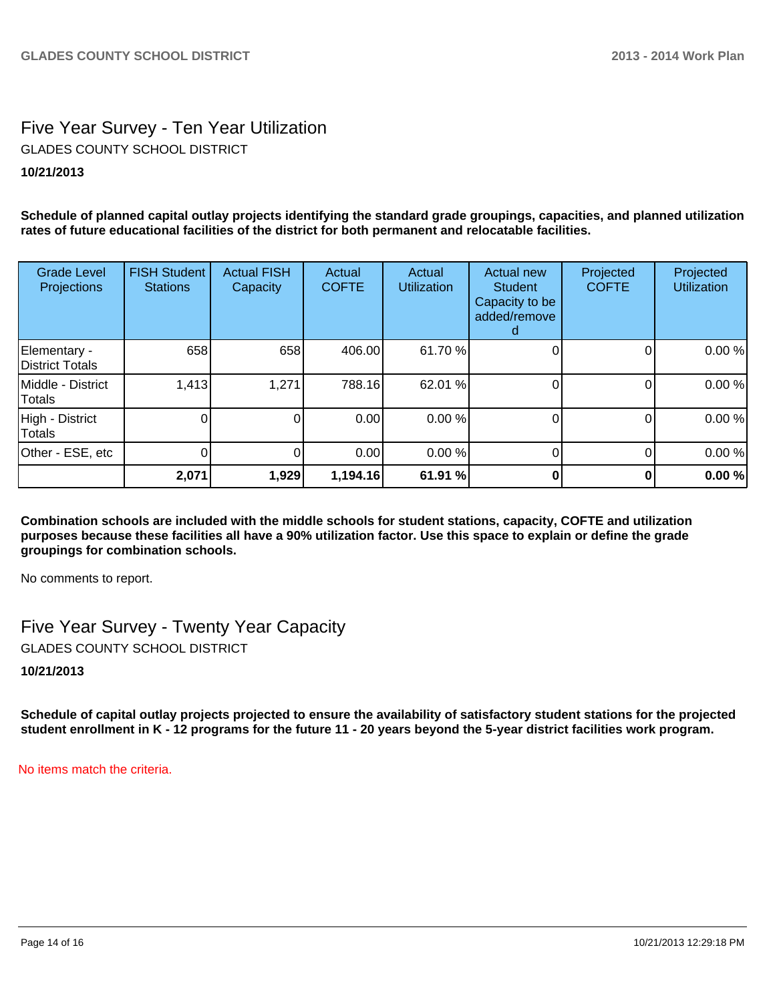# Five Year Survey - Ten Year Utilization GLADES COUNTY SCHOOL DISTRICT

### **10/21/2013**

**Schedule of planned capital outlay projects identifying the standard grade groupings, capacities, and planned utilization rates of future educational facilities of the district for both permanent and relocatable facilities.**

| <b>Grade Level</b><br>Projections  | <b>FISH Student</b><br><b>Stations</b> | <b>Actual FISH</b><br>Capacity | Actual<br><b>COFTE</b> | Actual<br><b>Utilization</b> | Actual new<br><b>Student</b><br>Capacity to be<br>added/remove | Projected<br><b>COFTE</b> | Projected<br><b>Utilization</b> |
|------------------------------------|----------------------------------------|--------------------------------|------------------------|------------------------------|----------------------------------------------------------------|---------------------------|---------------------------------|
| Elementary -<br>District Totals    | 658                                    | 658                            | 406.00                 | 61.70 %                      |                                                                | 0                         | 0.00%                           |
| Middle - District<br><b>Totals</b> | 1,413                                  | 1,271                          | 788.16                 | 62.01 %                      |                                                                | 0                         | 0.00%                           |
| High - District<br>Totals          |                                        | 0                              | 0.00                   | 0.00 %                       |                                                                | 0                         | 0.00%                           |
| Other - ESE, etc                   |                                        |                                | 0.00                   | 0.00 %                       |                                                                |                           | 0.00%                           |
|                                    | 2,071                                  | 1,929                          | 1,194.16               | 61.91 %                      |                                                                | 0                         | 0.00%                           |

**Combination schools are included with the middle schools for student stations, capacity, COFTE and utilization purposes because these facilities all have a 90% utilization factor. Use this space to explain or define the grade groupings for combination schools.**

No comments to report.

Five Year Survey - Twenty Year Capacity GLADES COUNTY SCHOOL DISTRICT

**10/21/2013**

**Schedule of capital outlay projects projected to ensure the availability of satisfactory student stations for the projected student enrollment in K - 12 programs for the future 11 - 20 years beyond the 5-year district facilities work program.**

No items match the criteria.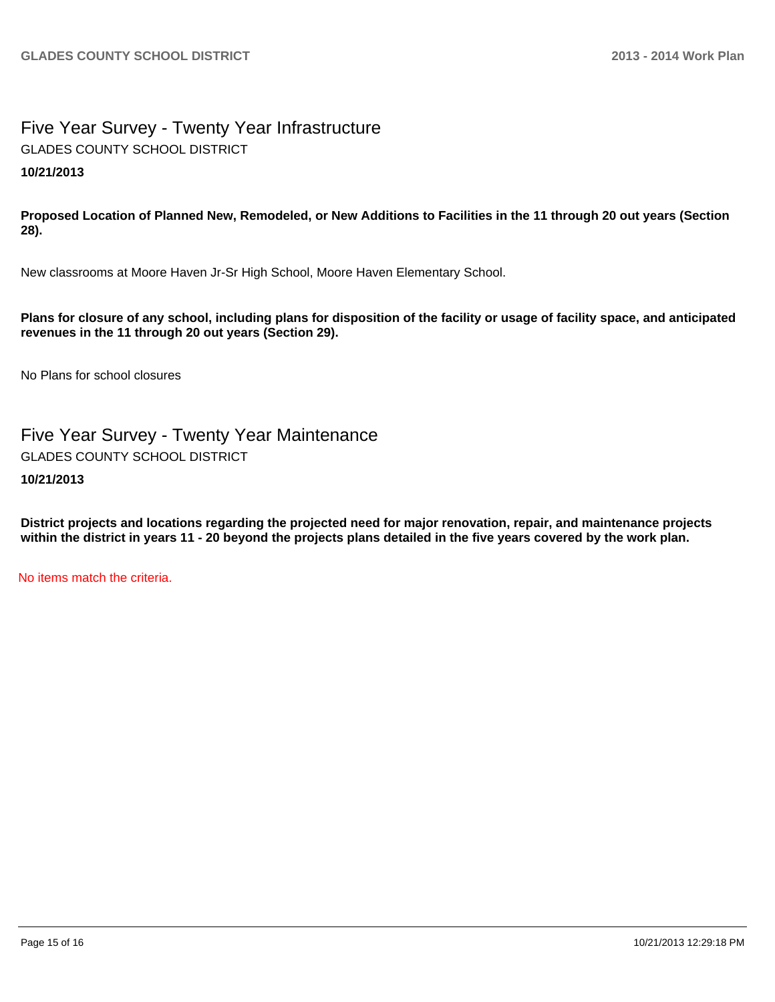## Five Year Survey - Twenty Year Infrastructure **10/21/2013** GLADES COUNTY SCHOOL DISTRICT

**Proposed Location of Planned New, Remodeled, or New Additions to Facilities in the 11 through 20 out years (Section 28).**

New classrooms at Moore Haven Jr-Sr High School, Moore Haven Elementary School.

**Plans for closure of any school, including plans for disposition of the facility or usage of facility space, and anticipated revenues in the 11 through 20 out years (Section 29).**

No Plans for school closures

Five Year Survey - Twenty Year Maintenance

GLADES COUNTY SCHOOL DISTRICT

**10/21/2013**

**District projects and locations regarding the projected need for major renovation, repair, and maintenance projects within the district in years 11 - 20 beyond the projects plans detailed in the five years covered by the work plan.**

No items match the criteria.